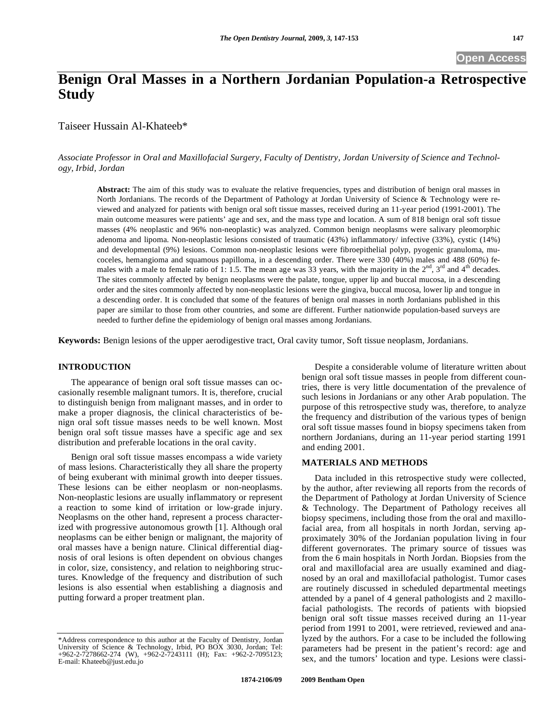# **Benign Oral Masses in a Northern Jordanian Population-a Retrospective Study**

Taiseer Hussain Al-Khateeb\*

*Associate Professor in Oral and Maxillofacial Surgery, Faculty of Dentistry, Jordan University of Science and Technology, Irbid, Jordan* 

**Abstract:** The aim of this study was to evaluate the relative frequencies, types and distribution of benign oral masses in North Jordanians. The records of the Department of Pathology at Jordan University of Science & Technology were reviewed and analyzed for patients with benign oral soft tissue masses, received during an 11-year period (1991-2001). The main outcome measures were patients' age and sex, and the mass type and location. A sum of 818 benign oral soft tissue masses (4% neoplastic and 96% non-neoplastic) was analyzed. Common benign neoplasms were salivary pleomorphic adenoma and lipoma. Non-neoplastic lesions consisted of traumatic (43%) inflammatory/ infective (33%), cystic (14%) and developmental (9%) lesions. Common non-neoplastic lesions were fibroepithelial polyp, pyogenic granuloma, mucoceles, hemangioma and squamous papilloma, in a descending order. There were 330 (40%) males and 488 (60%) females with a male to female ratio of 1: 1.5. The mean age was 33 years, with the majority in the  $2<sup>nd</sup>$ ,  $3<sup>rd</sup>$  and  $4<sup>th</sup>$  decades. The sites commonly affected by benign neoplasms were the palate, tongue, upper lip and buccal mucosa, in a descending order and the sites commonly affected by non-neoplastic lesions were the gingiva, buccal mucosa, lower lip and tongue in a descending order. It is concluded that some of the features of benign oral masses in north Jordanians published in this paper are similar to those from other countries, and some are different. Further nationwide population-based surveys are needed to further define the epidemiology of benign oral masses among Jordanians.

**Keywords:** Benign lesions of the upper aerodigestive tract, Oral cavity tumor, Soft tissue neoplasm, Jordanians.

## **INTRODUCTION**

The appearance of benign oral soft tissue masses can occasionally resemble malignant tumors. It is, therefore, crucial to distinguish benign from malignant masses, and in order to make a proper diagnosis, the clinical characteristics of benign oral soft tissue masses needs to be well known. Most benign oral soft tissue masses have a specific age and sex distribution and preferable locations in the oral cavity.

Benign oral soft tissue masses encompass a wide variety of mass lesions. Characteristically they all share the property of being exuberant with minimal growth into deeper tissues. These lesions can be either neoplasm or non-neoplasms. Non-neoplastic lesions are usually inflammatory or represent a reaction to some kind of irritation or low-grade injury. Neoplasms on the other hand, represent a process characterized with progressive autonomous growth [1]. Although oral neoplasms can be either benign or malignant, the majority of oral masses have a benign nature. Clinical differential diagnosis of oral lesions is often dependent on obvious changes in color, size, consistency, and relation to neighboring structures. Knowledge of the frequency and distribution of such lesions is also essential when establishing a diagnosis and putting forward a proper treatment plan.

Despite a considerable volume of literature written about benign oral soft tissue masses in people from different countries, there is very little documentation of the prevalence of such lesions in Jordanians or any other Arab population. The purpose of this retrospective study was, therefore, to analyze the frequency and distribution of the various types of benign oral soft tissue masses found in biopsy specimens taken from northern Jordanians, during an 11-year period starting 1991 and ending 2001.

#### **MATERIALS AND METHODS**

Data included in this retrospective study were collected, by the author, after reviewing all reports from the records of the Department of Pathology at Jordan University of Science & Technology. The Department of Pathology receives all biopsy specimens, including those from the oral and maxillofacial area, from all hospitals in north Jordan, serving approximately 30% of the Jordanian population living in four different governorates. The primary source of tissues was from the 6 main hospitals in North Jordan. Biopsies from the oral and maxillofacial area are usually examined and diagnosed by an oral and maxillofacial pathologist. Tumor cases are routinely discussed in scheduled departmental meetings attended by a panel of 4 general pathologists and 2 maxillofacial pathologists. The records of patients with biopsied benign oral soft tissue masses received during an 11-year period from 1991 to 2001, were retrieved, reviewed and analyzed by the authors. For a case to be included the following parameters had be present in the patient's record: age and sex, and the tumors' location and type. Lesions were classi-

<sup>\*</sup>Address correspondence to this author at the Faculty of Dentistry, Jordan University of Science & Technology, Irbid, PO BOX 3030, Jordan; Tel: +962-2-7278662-274 (W), +962-2-7243111 (H); Fax: +962-2-7095123; E-mail: Khateeb@just.edu.jo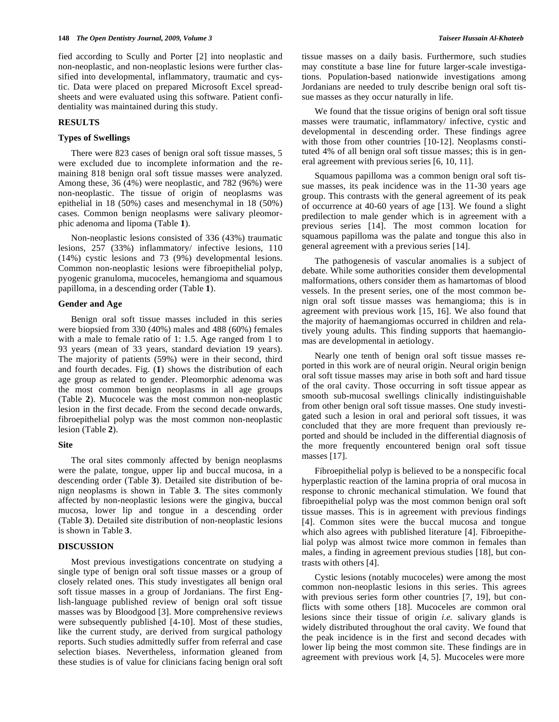fied according to Scully and Porter [2] into neoplastic and non-neoplastic, and non-neoplastic lesions were further classified into developmental, inflammatory, traumatic and cystic. Data were placed on prepared Microsoft Excel spreadsheets and were evaluated using this software. Patient confidentiality was maintained during this study.

#### **RESULTS**

#### **Types of Swellings**

There were 823 cases of benign oral soft tissue masses, 5 were excluded due to incomplete information and the remaining 818 benign oral soft tissue masses were analyzed. Among these, 36 (4%) were neoplastic, and 782 (96%) were non-neoplastic. The tissue of origin of neoplasms was epithelial in 18 (50%) cases and mesenchymal in 18 (50%) cases. Common benign neoplasms were salivary pleomorphic adenoma and lipoma (Table **1**).

Non-neoplastic lesions consisted of 336 (43%) traumatic lesions, 257 (33%) inflammatory/ infective lesions, 110 (14%) cystic lesions and 73 (9%) developmental lesions. Common non-neoplastic lesions were fibroepithelial polyp, pyogenic granuloma, mucoceles, hemangioma and squamous papilloma, in a descending order (Table **1**).

# **Gender and Age**

Benign oral soft tissue masses included in this series were biopsied from 330 (40%) males and 488 (60%) females with a male to female ratio of 1: 1.5. Age ranged from 1 to 93 years (mean of 33 years, standard deviation 19 years). The majority of patients (59%) were in their second, third and fourth decades. Fig. (**1**) shows the distribution of each age group as related to gender. Pleomorphic adenoma was the most common benign neoplasms in all age groups (Table **2**). Mucocele was the most common non-neoplastic lesion in the first decade. From the second decade onwards, fibroepithelial polyp was the most common non-neoplastic lesion (Table **2**).

#### **Site**

The oral sites commonly affected by benign neoplasms were the palate, tongue, upper lip and buccal mucosa, in a descending order (Table **3**). Detailed site distribution of benign neoplasms is shown in Table **3**. The sites commonly affected by non-neoplastic lesions were the gingiva, buccal mucosa, lower lip and tongue in a descending order (Table **3**). Detailed site distribution of non-neoplastic lesions is shown in Table **3**.

#### **DISCUSSION**

Most previous investigations concentrate on studying a single type of benign oral soft tissue masses or a group of closely related ones. This study investigates all benign oral soft tissue masses in a group of Jordanians. The first English-language published review of benign oral soft tissue masses was by Bloodgood [3]. More comprehensive reviews were subsequently published [4-10]. Most of these studies, like the current study, are derived from surgical pathology reports. Such studies admittedly suffer from referral and case selection biases. Nevertheless, information gleaned from these studies is of value for clinicians facing benign oral soft tissue masses on a daily basis. Furthermore, such studies may constitute a base line for future larger-scale investigations. Population-based nationwide investigations among Jordanians are needed to truly describe benign oral soft tissue masses as they occur naturally in life.

We found that the tissue origins of benign oral soft tissue masses were traumatic, inflammatory/ infective, cystic and developmental in descending order. These findings agree with those from other countries [10-12]. Neoplasms constituted 4% of all benign oral soft tissue masses; this is in general agreement with previous series [6, 10, 11].

Squamous papilloma was a common benign oral soft tissue masses, its peak incidence was in the 11-30 years age group. This contrasts with the general agreement of its peak of occurrence at 40-60 years of age [13]. We found a slight predilection to male gender which is in agreement with a previous series [14]. The most common location for squamous papilloma was the palate and tongue this also in general agreement with a previous series [14].

The pathogenesis of vascular anomalies is a subject of debate. While some authorities consider them developmental malformations, others consider them as hamartomas of blood vessels. In the present series, one of the most common benign oral soft tissue masses was hemangioma; this is in agreement with previous work [15, 16]. We also found that the majority of haemangiomas occurred in children and relatively young adults. This finding supports that haemangiomas are developmental in aetiology.

Nearly one tenth of benign oral soft tissue masses reported in this work are of neural origin. Neural origin benign oral soft tissue masses may arise in both soft and hard tissue of the oral cavity. Those occurring in soft tissue appear as smooth sub-mucosal swellings clinically indistinguishable from other benign oral soft tissue masses. One study investigated such a lesion in oral and perioral soft tissues, it was concluded that they are more frequent than previously reported and should be included in the differential diagnosis of the more frequently encountered benign oral soft tissue masses [17].

Fibroepithelial polyp is believed to be a nonspecific focal hyperplastic reaction of the lamina propria of oral mucosa in response to chronic mechanical stimulation. We found that fibroepithelial polyp was the most common benign oral soft tissue masses. This is in agreement with previous findings [4]. Common sites were the buccal mucosa and tongue which also agrees with published literature [4]. Fibroepithelial polyp was almost twice more common in females than males, a finding in agreement previous studies [18], but contrasts with others [4].

Cystic lesions (notably mucoceles) were among the most common non-neoplastic lesions in this series. This agrees with previous series form other countries [7, 19], but conflicts with some others [18]. Mucoceles are common oral lesions since their tissue of origin *i.e.* salivary glands is widely distributed throughout the oral cavity. We found that the peak incidence is in the first and second decades with lower lip being the most common site. These findings are in agreement with previous work [4, 5]. Mucoceles were more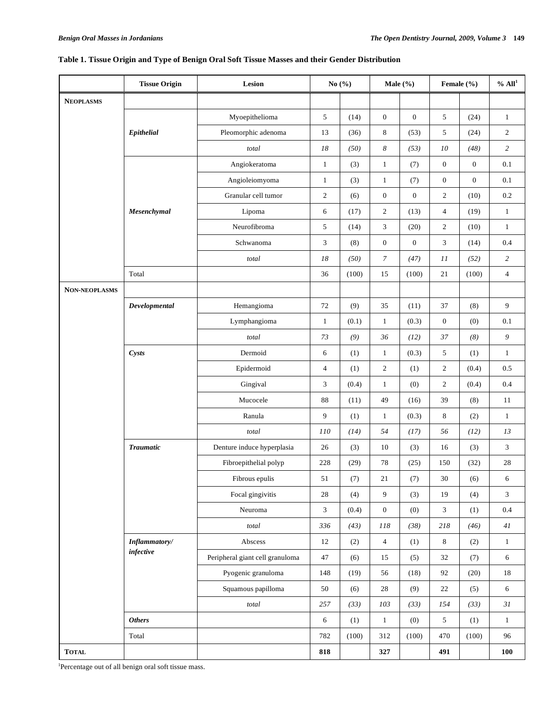# **Tissue Origin Lesion No (%) Male (%) Female (%) %** All<sup>1</sup> Myoepithelioma 5 (14) 0 0 5 (24) 1 *Epithelial* Pleomorphic adenoma 13 (36) 8 (53) 5 (24) 2 *total 18 (50) 8 (53) 10 (48) 2*  Angiokeratoma 1 (3) 1 (7) 0 0 0.1 Angioleiomyoma 1 (3) 1 (7) 0 0 0.1 Granular cell tumor  $\begin{vmatrix} 2 & 6 \end{vmatrix}$  (6)  $\begin{vmatrix} 0 & 0 \end{vmatrix}$  (10) 0.2 Lipoma 6 (17) 2 (13) 4 (19) 1 Neurofibroma 5 (14) 3 (20) 2 (10) 1 Schwanoma 3 (8) 0 0 3 (14) 0.4 *Mesenchymal total 18 (50) 7 (47) 11 (52) 2*  **NEOPLASMS** Total 100 | 15 (100) 15 (100) 21 (100) 4 Hemangioma | 72 | (9) | 35 | (11) | 37 | (8) | 9 Lymphangioma  $1 \t (0.1) \t 1 \t (0.3) \t 0 \t (0) \t 0.1$ *Developmental total 73 (9) 36 (12) 37 (8) 9*  Dermoid 6 (1) 1 (0.3) 5 (1) 1 Epidermoid 4 (1) 2 (1) 2 (0.4) 0.5 Gingival  $\begin{array}{|c|c|c|c|c|c|c|c|c|} \hline 3 & 3 & (0.4) & 1 & (0) & 2 & (0.4) & 0.4 \ \hline \end{array}$ Mucocele 188 (11) 49 (16) 39 (8) 11 Ranula 1 9 (1) 1 (0.3) 8 (2) 1 *Cysts total 110 (14) 54 (17) 56 (12) 13*  Denture induce hyperplasia  $\begin{array}{|c|c|c|c|c|c|c|c|c|} \hline 26 & 3 & 10 & 3 & 16 & 3 \ \hline \end{array}$ Fibroepithelial polyp 228 (29) 78 (25) 150 (32) 28 Fibrous epulis 1 51 (7) 21 (7) 30 (6) 6 Focal gingivitis 28 (4) 9 (3) 19 (4) 3 Neuroma  $\begin{array}{|c|c|c|c|c|c|c|c|c|} \hline 3 & 0.4 & 0 & 0 & 3 & 1 \ \hline \end{array}$ *Traumatic total 336 (43) 118 (38) 218 (46) 41*  Abscess 12 (2) 4 (1) 8 (2) 1 Peripheral giant cell granuloma  $\begin{vmatrix} 47 & | & (6) \\ | & 15 & | & (5) \\ | & 32 & | & (7) \end{vmatrix}$  6 Pyogenic granuloma | 148 (19) | 56 | (18) | 92 | (20) | 18 Squamous papilloma  $\begin{array}{|c|c|c|c|c|c|c|c|c|} \hline \end{array}$  50 (6) 28 (9) 22 (5) 6 *Inflammatory/ infective total 257 (33) 103 (33) 154 (33) 31 Others* 1 (1) 1 (0) 5 (1) 1 (1) 1 (1) 1 (1) 1 (1) 1 (1) 1 (1) 1 (1) 1 (1) 1 (1) 1 (1) 1 (1) 1 (1) 1 (1) 1 (1) 1 (1) 1 (1) 1 (1) 1 (1) 1 (1) 1 (1) 1 (1) 1 (1) 1 (1) 1 (1) 1 (1) 1 (1) 1 (1) 1 (1) 1 (1) 1 (1) 1 (1) 1 (1) 1 ( **NON-NEOPLASMS** Total 1991 - Total 1992 (100) 312 (100) 470 (100) 96 **TOTAL** 100

### **Table 1. Tissue Origin and Type of Benign Oral Soft Tissue Masses and their Gender Distribution**

1 Percentage out of all benign oral soft tissue mass.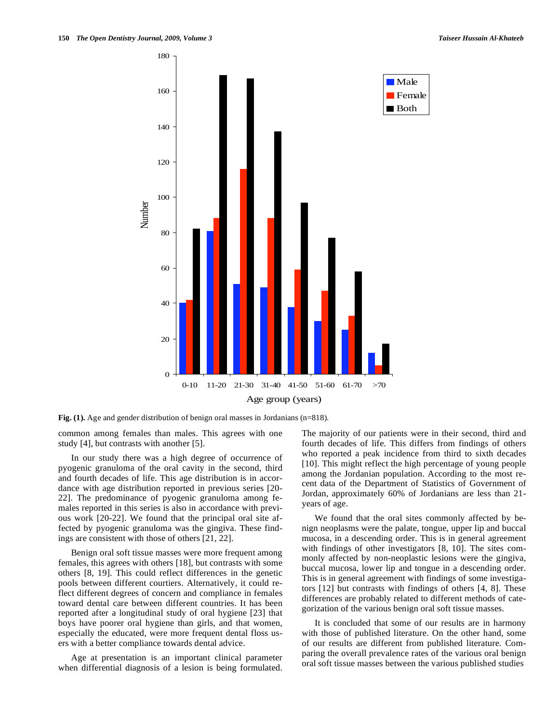

**Fig. (1).** Age and gender distribution of benign oral masses in Jordanians (n=818).

common among females than males. This agrees with one study [4], but contrasts with another [5].

In our study there was a high degree of occurrence of pyogenic granuloma of the oral cavity in the second, third and fourth decades of life. This age distribution is in accordance with age distribution reported in previous series [20- 22]. The predominance of pyogenic granuloma among females reported in this series is also in accordance with previous work [20-22]. We found that the principal oral site affected by pyogenic granuloma was the gingiva. These findings are consistent with those of others [21, 22].

Benign oral soft tissue masses were more frequent among females, this agrees with others [18], but contrasts with some others [8, 19]. This could reflect differences in the genetic pools between different courtiers. Alternatively, it could reflect different degrees of concern and compliance in females toward dental care between different countries. It has been reported after a longitudinal study of oral hygiene [23] that boys have poorer oral hygiene than girls, and that women, especially the educated, were more frequent dental floss users with a better compliance towards dental advice.

Age at presentation is an important clinical parameter when differential diagnosis of a lesion is being formulated.

The majority of our patients were in their second, third and fourth decades of life. This differs from findings of others who reported a peak incidence from third to sixth decades [10]. This might reflect the high percentage of young people among the Jordanian population. According to the most recent data of the Department of Statistics of Government of Jordan, approximately 60% of Jordanians are less than 21 years of age.

We found that the oral sites commonly affected by benign neoplasms were the palate, tongue, upper lip and buccal mucosa, in a descending order. This is in general agreement with findings of other investigators [8, 10]. The sites commonly affected by non-neoplastic lesions were the gingiva, buccal mucosa, lower lip and tongue in a descending order. This is in general agreement with findings of some investigators [12] but contrasts with findings of others [4, 8]. These differences are probably related to different methods of categorization of the various benign oral soft tissue masses.

It is concluded that some of our results are in harmony with those of published literature. On the other hand, some of our results are different from published literature. Comparing the overall prevalence rates of the various oral benign oral soft tissue masses between the various published studies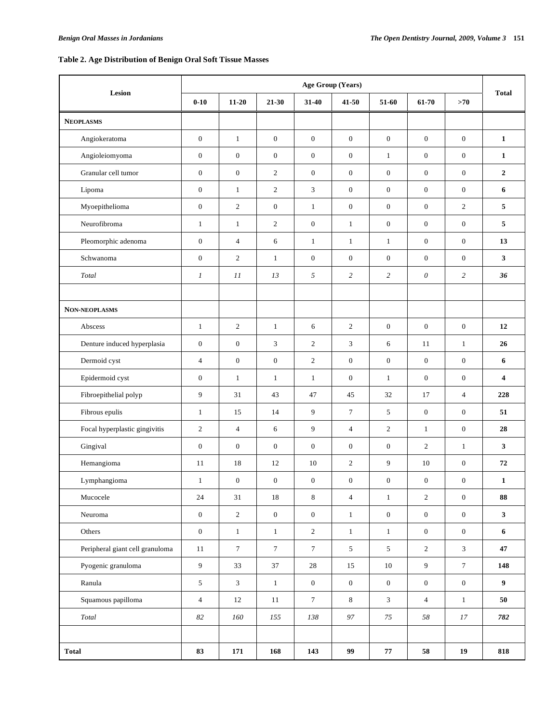# **Table 2. Age Distribution of Benign Oral Soft Tissue Masses**

|                                 | <b>Age Group (Years)</b> |                  |                  |                  |                  |                  |                  |                            |                         |
|---------------------------------|--------------------------|------------------|------------------|------------------|------------------|------------------|------------------|----------------------------|-------------------------|
| Lesion                          | $0 - 10$                 | $11 - 20$        | 21-30            | 31-40            | 41-50            | 51-60            | 61-70            | >70                        | <b>Total</b>            |
| <b>NEOPLASMS</b>                |                          |                  |                  |                  |                  |                  |                  |                            |                         |
| Angiokeratoma                   | $\boldsymbol{0}$         | $\mathbf{1}$     | $\mathbf{0}$     | $\mathbf{0}$     | $\mathbf{0}$     | $\mathbf{0}$     | $\mathbf{0}$     | $\boldsymbol{0}$           | $\mathbf{1}$            |
| Angioleiomyoma                  | $\mathbf{0}$             | $\mathbf{0}$     | $\boldsymbol{0}$ | $\boldsymbol{0}$ | $\boldsymbol{0}$ | $\mathbf{1}$     | $\mathbf{0}$     | $\boldsymbol{0}$           | $\mathbf{1}$            |
| Granular cell tumor             | $\boldsymbol{0}$         | $\boldsymbol{0}$ | $\overline{2}$   | $\mathbf{0}$     | $\mathbf{0}$     | $\boldsymbol{0}$ | $\boldsymbol{0}$ | $\boldsymbol{0}$           | $\overline{2}$          |
| Lipoma                          | $\boldsymbol{0}$         | $\mathbf{1}$     | $\overline{c}$   | 3                | $\boldsymbol{0}$ | $\mathbf{0}$     | $\boldsymbol{0}$ | $\boldsymbol{0}$           | 6                       |
| Myoepithelioma                  | $\boldsymbol{0}$         | $\overline{c}$   | $\boldsymbol{0}$ | $\mathbf{1}$     | $\boldsymbol{0}$ | $\boldsymbol{0}$ | $\mathbf{0}$     | $\sqrt{2}$                 | $\overline{\mathbf{5}}$ |
| Neurofibroma                    | $\mathbf{1}$             | $\mathbf{1}$     | $\sqrt{2}$       | $\boldsymbol{0}$ | $\mathbf{1}$     | $\boldsymbol{0}$ | $\boldsymbol{0}$ | $\boldsymbol{0}$           | $\sqrt{5}$              |
| Pleomorphic adenoma             | $\boldsymbol{0}$         | $\overline{4}$   | 6                | $\mathbf{1}$     | $\mathbf{1}$     | $\mathbf{1}$     | $\boldsymbol{0}$ | $\boldsymbol{0}$           | 13                      |
| Schwanoma                       | $\boldsymbol{0}$         | 2                | $\mathbf{1}$     | $\mathbf{0}$     | $\boldsymbol{0}$ | $\boldsymbol{0}$ | $\boldsymbol{0}$ | $\boldsymbol{0}$           | $\mathbf{3}$            |
| Total                           | $\boldsymbol{l}$         | 11               | 13               | 5                | $\overline{c}$   | $\overline{c}$   | $\theta$         | $\overline{c}$             | 36                      |
|                                 |                          |                  |                  |                  |                  |                  |                  |                            |                         |
| <b>NON-NEOPLASMS</b>            |                          |                  |                  |                  |                  |                  |                  |                            |                         |
| Abscess                         | $\mathbf{1}$             | 2                | $\mathbf{1}$     | 6                | $\overline{c}$   | $\boldsymbol{0}$ | $\boldsymbol{0}$ | $\boldsymbol{0}$           | 12                      |
| Denture induced hyperplasia     | $\boldsymbol{0}$         | $\boldsymbol{0}$ | $\mathfrak{Z}$   | $\boldsymbol{2}$ | 3                | 6                | 11               | $\mathbf{1}$               | 26                      |
| Dermoid cyst                    | $\overline{4}$           | $\mathbf{0}$     | $\boldsymbol{0}$ | $\boldsymbol{2}$ | $\boldsymbol{0}$ | $\boldsymbol{0}$ | $\boldsymbol{0}$ | $\boldsymbol{0}$           | 6                       |
| Epidermoid cyst                 | $\boldsymbol{0}$         | $\mathbf{1}$     | $\mathbf{1}$     | $\mathbf{1}$     | $\mathbf{0}$     | $\mathbf{1}$     | $\boldsymbol{0}$ | $\boldsymbol{0}$           | $\overline{\mathbf{4}}$ |
| Fibroepithelial polyp           | 9                        | 31               | 43               | 47               | 45               | 32               | 17               | $\overline{4}$             | 228                     |
| Fibrous epulis                  | $\mathbf{1}$             | 15               | 14               | 9                | $\tau$           | 5                | $\boldsymbol{0}$ | $\boldsymbol{0}$           | 51                      |
| Focal hyperplastic gingivitis   | $\boldsymbol{2}$         | $\overline{4}$   | 6                | 9                | $\overline{4}$   | $\overline{2}$   | $\mathbf{1}$     | $\boldsymbol{0}$           | 28                      |
| Gingival                        | $\boldsymbol{0}$         | $\mathbf{0}$     | $\boldsymbol{0}$ | $\mathbf{0}$     | $\mathbf{0}$     | $\boldsymbol{0}$ | $\overline{c}$   | $\mathbf{1}$               | $\mathbf{3}$            |
| Hemangioma                      | 11                       | 18               | 12               | 10               | $\overline{2}$   | 9                | 10               | $\boldsymbol{0}$           | 72                      |
| $\!$ Lymphangioma               | $\mathbf{1}$             | $\boldsymbol{0}$ | $\boldsymbol{0}$ | $\boldsymbol{0}$ | $\boldsymbol{0}$ | $\boldsymbol{0}$ | $\boldsymbol{0}$ | $\boldsymbol{0}$           | $\mathbf{1}$            |
| Mucocele                        | 24                       | 31               | 18               | $\,8\,$          | $\overline{4}$   | $\mathbf{1}$     | $\overline{c}$   | $\boldsymbol{0}$           | 88                      |
| Neuroma                         | $\boldsymbol{0}$         | $\sqrt{2}$       | $\boldsymbol{0}$ | $\boldsymbol{0}$ | $\,1$            | $\boldsymbol{0}$ | $\boldsymbol{0}$ | $\boldsymbol{0}$           | $\mathbf{3}$            |
| Others                          | $\boldsymbol{0}$         | $\,1\,$          | $\,1\,$          | $\sqrt{2}$       | $\,1$            | $\mathbf{1}$     | $\boldsymbol{0}$ | $\boldsymbol{0}$           | $\boldsymbol{6}$        |
| Peripheral giant cell granuloma | 11                       | $\boldsymbol{7}$ | $\boldsymbol{7}$ | $\boldsymbol{7}$ | $\mathfrak{S}$   | 5                | $\sqrt{2}$       | $\overline{3}$             | 47                      |
| Pyogenic granuloma              | $\overline{9}$           | 33               | 37               | 28               | 15               | 10               | $\overline{9}$   | $\tau$                     | 148                     |
| Ranula                          | 5                        | 3                | $\mathbf{1}$     | $\boldsymbol{0}$ | $\boldsymbol{0}$ | $\boldsymbol{0}$ | $\boldsymbol{0}$ | $\mathbf{0}$               | 9 <sup>1</sup>          |
| Squamous papilloma              | $\overline{4}$           | 12               | 11               | $\boldsymbol{7}$ | $8\,$            | 3                | $\overline{4}$   | $\mathbf{1}$               | 50                      |
| $\operatorname{Total}$          | 82                       | 160              | 155              | 138              | 97               | 75               | 58               | $\ensuremath{\mathit{17}}$ | $\boldsymbol{782}$      |
|                                 |                          |                  |                  |                  |                  |                  |                  |                            |                         |
| <b>Total</b>                    | 83                       | 171              | 168              | 143              | 99               | ${\bf 77}$       | 58               | 19                         | 818                     |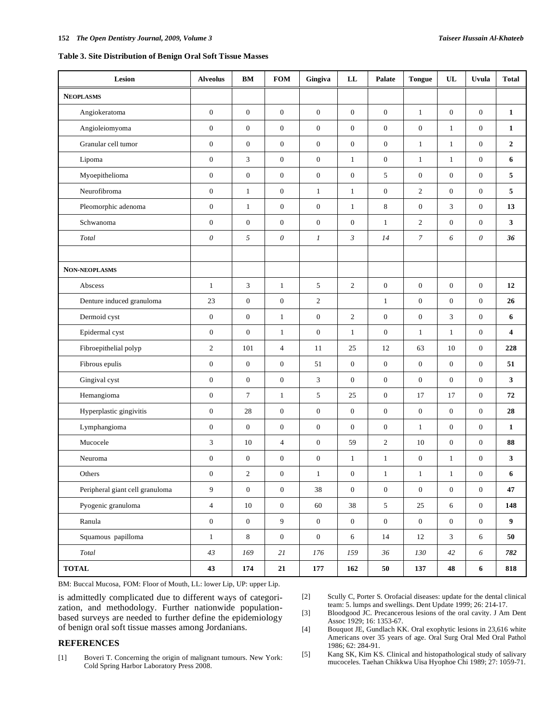|  |  |  |  |  |  |  |  |  |  |  |  | Table 3. Site Distribution of Benign Oral Soft Tissue Masses |
|--|--|--|--|--|--|--|--|--|--|--|--|--------------------------------------------------------------|
|--|--|--|--|--|--|--|--|--|--|--|--|--------------------------------------------------------------|

| Lesion                                      | <b>Alveolus</b>           | $\mathbf{BM}$    | <b>FOM</b>                | Gingiva          | ${\bf L}{\bf L}$   | Palate           | <b>Tongue</b>    | ${\bf UL}$       | Uvula                     | <b>Total</b>            |
|---------------------------------------------|---------------------------|------------------|---------------------------|------------------|--------------------|------------------|------------------|------------------|---------------------------|-------------------------|
| <b>NEOPLASMS</b>                            |                           |                  |                           |                  |                    |                  |                  |                  |                           |                         |
| Angiokeratoma                               | $\boldsymbol{0}$          | $\boldsymbol{0}$ | $\boldsymbol{0}$          | $\boldsymbol{0}$ | $\boldsymbol{0}$   | $\boldsymbol{0}$ | $\mathbf{1}$     | $\boldsymbol{0}$ | $\boldsymbol{0}$          | $\mathbf{1}$            |
| Angioleiomyoma                              | $\boldsymbol{0}$          | $\boldsymbol{0}$ | $\boldsymbol{0}$          | $\boldsymbol{0}$ | $\boldsymbol{0}$   | $\boldsymbol{0}$ | $\boldsymbol{0}$ | $\mathbf 1$      | $\mathbf{0}$              | $\mathbf{1}$            |
| Granular cell tumor                         | $\boldsymbol{0}$          | $\boldsymbol{0}$ | $\boldsymbol{0}$          | $\boldsymbol{0}$ | $\boldsymbol{0}$   | $\boldsymbol{0}$ | $\mathbf{1}$     | $\mathbf{1}$     | $\boldsymbol{0}$          | $\mathbf{2}$            |
| Lipoma                                      | $\boldsymbol{0}$          | 3                | $\boldsymbol{0}$          | $\boldsymbol{0}$ | $\mathbf{1}$       | $\boldsymbol{0}$ | $\mathbf{1}$     | $\mathbf{1}$     | $\boldsymbol{0}$          | 6                       |
| Myoepithelioma                              | $\boldsymbol{0}$          | $\boldsymbol{0}$ | $\boldsymbol{0}$          | $\boldsymbol{0}$ | $\boldsymbol{0}$   | 5                | $\boldsymbol{0}$ | $\boldsymbol{0}$ | $\boldsymbol{0}$          | 5                       |
| Neurofibroma                                | $\boldsymbol{0}$          | $\mathbf{1}$     | $\boldsymbol{0}$          | $\mathbf{1}$     | $\mathbf{1}$       | $\boldsymbol{0}$ | $\sqrt{2}$       | $\boldsymbol{0}$ | $\mathbf{0}$              | 5                       |
| Pleomorphic adenoma                         | $\mathbf{0}$              | $\mathbf{1}$     | $\mathbf{0}$              | $\boldsymbol{0}$ | $\mathbf{1}$       | $\,8\,$          | $\boldsymbol{0}$ | 3                | $\mathbf{0}$              | 13                      |
| Schwanoma                                   | $\boldsymbol{0}$          | $\boldsymbol{0}$ | $\boldsymbol{0}$          | $\boldsymbol{0}$ | $\boldsymbol{0}$   | $\mathbf{1}$     | $\mathbf{2}$     | $\mathbf{0}$     | $\mathbf{0}$              | 3                       |
| Total                                       | $\boldsymbol{\mathit{0}}$ | 5                | $\boldsymbol{\mathit{0}}$ | $\boldsymbol{l}$ | $\mathfrak{Z}$     | 14               | $\boldsymbol{7}$ | 6                | $\boldsymbol{\mathit{0}}$ | 36                      |
|                                             |                           |                  |                           |                  |                    |                  |                  |                  |                           |                         |
| <b>NON-NEOPLASMS</b>                        |                           |                  |                           |                  |                    |                  |                  |                  |                           |                         |
| Abscess                                     | $\mathbf{1}$              | 3                | $\mathbf{1}$              | 5                | $\sqrt{2}$         | $\boldsymbol{0}$ | $\boldsymbol{0}$ | $\boldsymbol{0}$ | $\mathbf{0}$              | 12                      |
| Denture induced granuloma                   | 23                        | $\boldsymbol{0}$ | $\boldsymbol{0}$          | $\overline{2}$   |                    | $\mathbf{1}$     | $\boldsymbol{0}$ | $\boldsymbol{0}$ | $\boldsymbol{0}$          | 26                      |
| Dermoid cyst                                | $\boldsymbol{0}$          | $\boldsymbol{0}$ | $\mathbf{1}$              | $\boldsymbol{0}$ | $\mathbf{2}$       | $\boldsymbol{0}$ | $\boldsymbol{0}$ | 3                | $\mathbf{0}$              | 6                       |
| Epidermal cyst                              | $\boldsymbol{0}$          | $\boldsymbol{0}$ | $\mathbf{1}$              | $\boldsymbol{0}$ | $\mathbf{1}$       | $\boldsymbol{0}$ | $\mathbf{1}$     | $\mathbf{1}$     | $\mathbf{0}$              | $\overline{\mathbf{4}}$ |
| Fibroepithelial polyp                       | $\sqrt{2}$                | 101              | $\overline{4}$            | 11               | 25                 | 12               | 63               | 10               | $\mathbf{0}$              | 228                     |
| Fibrous epulis                              | $\boldsymbol{0}$          | $\boldsymbol{0}$ | $\boldsymbol{0}$          | 51               | $\boldsymbol{0}$   | $\boldsymbol{0}$ | $\boldsymbol{0}$ | $\boldsymbol{0}$ | $\boldsymbol{0}$          | 51                      |
| Gingival cyst                               | $\boldsymbol{0}$          | $\boldsymbol{0}$ | $\boldsymbol{0}$          | $\mathfrak{Z}$   | $\boldsymbol{0}$   | $\boldsymbol{0}$ | $\boldsymbol{0}$ | $\mathbf{0}$     | $\boldsymbol{0}$          | $\mathbf{3}$            |
| Hemangioma                                  | $\mathbf{0}$              | $\tau$           | $\mathbf{1}$              | 5                | 25                 | $\boldsymbol{0}$ | 17               | 17               | $\boldsymbol{0}$          | 72                      |
| Hyperplastic gingivitis                     | $\boldsymbol{0}$          | $28\,$           | $\boldsymbol{0}$          | $\boldsymbol{0}$ | $\boldsymbol{0}$   | $\boldsymbol{0}$ | $\boldsymbol{0}$ | $\boldsymbol{0}$ | $\boldsymbol{0}$          | 28                      |
| Lymphangioma                                | $\boldsymbol{0}$          | $\boldsymbol{0}$ | $\boldsymbol{0}$          | $\boldsymbol{0}$ | $\boldsymbol{0}$   | $\boldsymbol{0}$ | $\mathbf{1}$     | $\boldsymbol{0}$ | $\boldsymbol{0}$          | $\mathbf{1}$            |
| Mucocele                                    | $\mathfrak{Z}$            | $10\,$           | $\overline{4}$            | $\boldsymbol{0}$ | 59                 | $\sqrt{2}$       | 10               | $\boldsymbol{0}$ | $\boldsymbol{0}$          | 88                      |
| Neuroma                                     | $\boldsymbol{0}$          | $\boldsymbol{0}$ | $\boldsymbol{0}$          | $\boldsymbol{0}$ | $\mathbf{1}$       | $\mathbf{1}$     | $\boldsymbol{0}$ | $\mathbf{1}$     | $\boldsymbol{0}$          | 3                       |
| Others                                      | $\boldsymbol{0}$          | $\overline{c}$   | $\mathbf{0}$              | $\mathbf{1}$     | $\mathbf{0}$       | $\mathbf{1}$     | $\mathbf{1}$     | $\mathbf{1}$     | $\mathbf{0}$              | 6                       |
| Peripheral giant cell granuloma             | 9                         | $\boldsymbol{0}$ | $\boldsymbol{0}$          | $38\,$           | $\boldsymbol{0}$   | $\boldsymbol{0}$ | $\overline{0}$   | $\boldsymbol{0}$ | $\boldsymbol{0}$          | 47                      |
| Pyogenic granuloma                          | $\overline{4}$            | $10\,$           | $\boldsymbol{0}$          | $60\,$           | $38\,$             | $\sqrt{5}$       | 25               | $\sqrt{6}$       | $\boldsymbol{0}$          | 148                     |
| Ranula                                      | $\boldsymbol{0}$          | $\boldsymbol{0}$ | 9                         | $\boldsymbol{0}$ | $\boldsymbol{0}$   | $\boldsymbol{0}$ | $\boldsymbol{0}$ | $\boldsymbol{0}$ | $\boldsymbol{0}$          | 9 <sup>°</sup>          |
| Squamous papilloma                          | $\mathbf{1}$              | $\,8\,$          | $\boldsymbol{0}$          | $\boldsymbol{0}$ | $\sqrt{6}$         | $14\,$           | $12\,$           | $\mathfrak{Z}$   | $\sqrt{6}$                | 50                      |
| $\operatorname{\mathcal{T}\!\mathit{otal}}$ | $43\,$                    | 169              | $2\sqrt{l}$               | $176\,$          | $\ensuremath{159}$ | 36               | $130\,$          | $42\,$           | $\boldsymbol{\delta}$     | $\boldsymbol{782}$      |
| <b>TOTAL</b>                                | 43                        | 174              | ${\bf 21}$                | 177              | ${\bf 162}$        | 50               | 137              | 48               | $\boldsymbol{6}$          | 818                     |

BM: Buccal Mucosa, FOM: Floor of Mouth, LL: lower Lip, UP: upper Lip.

is admittedly complicated due to different ways of categorization, and methodology. Further nationwide populationbased surveys are needed to further define the epidemiology of benign oral soft tissue masses among Jordanians.

# **REFERENCES**

- [1] Boveri T. Concerning the origin of malignant tumours. New York: Cold Spring Harbor Laboratory Press 2008.
- [2] Scully C, Porter S. Orofacial diseases: update for the dental clinical team: 5. lumps and swellings. Dent Update 1999; 26: 214-17.
- [3] Bloodgood JC. Precancerous lesions of the oral cavity. J Am Dent Assoc 1929; 16: 1353-67.
- [4] Bouquot JE, Gundlach KK. Oral exophytic lesions in 23,616 white Americans over 35 years of age. Oral Surg Oral Med Oral Pathol 1986; 62: 284-91.
- [5] Kang SK, Kim KS. Clinical and histopathological study of salivary mucoceles. Taehan Chikkwa Uisa Hyophoe Chi 1989; 27: 1059-71.